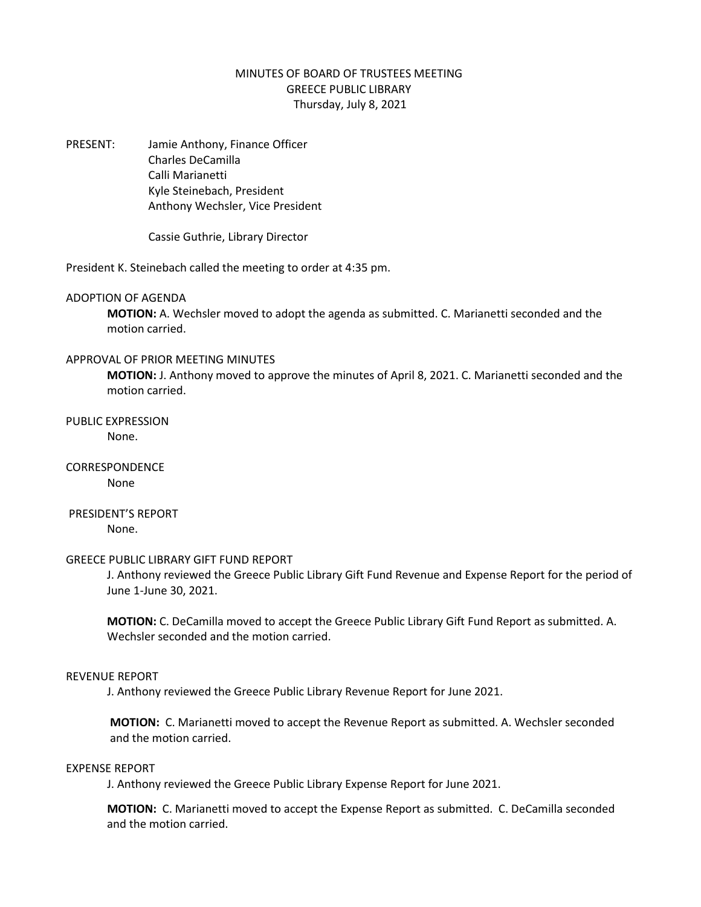# MINUTES OF BOARD OF TRUSTEES MEETING GREECE PUBLIC LIBRARY Thursday, July 8, 2021

PRESENT: Jamie Anthony, Finance Officer Charles DeCamilla Calli Marianetti Kyle Steinebach, President Anthony Wechsler, Vice President

Cassie Guthrie, Library Director

President K. Steinebach called the meeting to order at 4:35 pm.

### ADOPTION OF AGENDA

**MOTION:** A. Wechsler moved to adopt the agenda as submitted. C. Marianetti seconded and the motion carried.

#### APPROVAL OF PRIOR MEETING MINUTES

**MOTION:** J. Anthony moved to approve the minutes of April 8, 2021. C. Marianetti seconded and the motion carried.

### PUBLIC EXPRESSION None.

CORRESPONDENCE None

## PRESIDENT'S REPORT None.

#### GREECE PUBLIC LIBRARY GIFT FUND REPORT

J. Anthony reviewed the Greece Public Library Gift Fund Revenue and Expense Report for the period of June 1-June 30, 2021.

**MOTION:** C. DeCamilla moved to accept the Greece Public Library Gift Fund Report as submitted. A. Wechsler seconded and the motion carried.

### REVENUE REPORT

J. Anthony reviewed the Greece Public Library Revenue Report for June 2021.

**MOTION:** C. Marianetti moved to accept the Revenue Report as submitted. A. Wechsler seconded and the motion carried.

### EXPENSE REPORT

J. Anthony reviewed the Greece Public Library Expense Report for June 2021.

**MOTION:** C. Marianetti moved to accept the Expense Report as submitted. C. DeCamilla seconded and the motion carried.